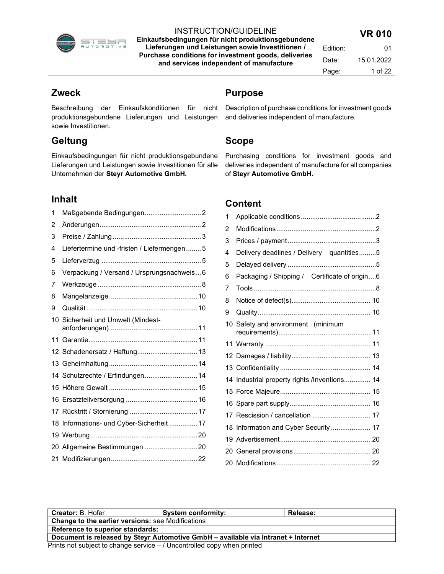

Einkaufsbedingungen für nicht produktionsgebundene Lieferungen und Leistungen sowie Investitionen / Purchase conditions for investment goods, deliveries and services independent of manufacture

| Edition: | 01         |
|----------|------------|
| Date:    | 15.01.2022 |
| Page:    | 1 of 22    |

## Zweck

Beschreibung der Einkaufskonditionen für nicht Description of purchase conditions for investment goods produktionsgebundene Lieferungen und Leistungen and deliveries independent of manufacture. sowie Investitionen.

# **Geltung**

Einkaufsbedingungen für nicht produktionsgebundene Lieferungen und Leistungen sowie Investitionen für alle Unternehmen der Steyr Automotive GmbH.

# Inhalt

| 1  |                                            |  |
|----|--------------------------------------------|--|
| 2  |                                            |  |
| 3  |                                            |  |
| 4  | Liefertermine und -fristen / Liefermengen5 |  |
| 5  |                                            |  |
| 6  | Verpackung / Versand / Ursprungsnachweis6  |  |
| 7  |                                            |  |
| 8  |                                            |  |
| 9  |                                            |  |
|    | 10 Sicherheit und Umwelt (Mindest-         |  |
| 11 |                                            |  |
|    | 12 Schadenersatz / Haftung 13              |  |
|    |                                            |  |
|    | 14 Schutzrechte / Erfindungen 14           |  |
|    |                                            |  |
|    |                                            |  |
|    |                                            |  |
| 18 | Informations- und Cyber-Sicherheit  17     |  |
|    |                                            |  |
|    | 20 Allgemeine Bestimmungen  20             |  |
|    |                                            |  |

## Purpose

# Scope

Purchasing conditions for investment goods and deliveries independent of manufacture for all companies of Steyr Automotive GmbH.

# Content

| 1 |                                               |
|---|-----------------------------------------------|
| 2 |                                               |
| 3 |                                               |
| 4 | Delivery deadlines / Delivery quantities5     |
| 5 |                                               |
| 6 | Packaging / Shipping / Certificate of origin6 |
| 7 |                                               |
| 8 |                                               |
| 9 |                                               |
|   | 10 Safety and environment (minimum            |
|   |                                               |
|   |                                               |
|   |                                               |
|   | 14 Industrial property rights /Inventions 14  |
|   |                                               |
|   |                                               |
|   | 17 Rescission / cancellation  17              |
|   | 18 Information and Cyber Security  17         |
|   |                                               |
|   |                                               |
|   |                                               |
|   |                                               |

| <b>Creator: B. Hofer</b>                                                          | <b>System conformity:</b> | Release: |  |
|-----------------------------------------------------------------------------------|---------------------------|----------|--|
| <b>Change to the earlier versions:</b> see Modifications                          |                           |          |  |
| Reference to superior standards:                                                  |                           |          |  |
| Document is released by Steyr Automotive GmbH - available via Intranet + Internet |                           |          |  |
| Prints not subject to change service $-$ / Uncontrolled copy when printed         |                           |          |  |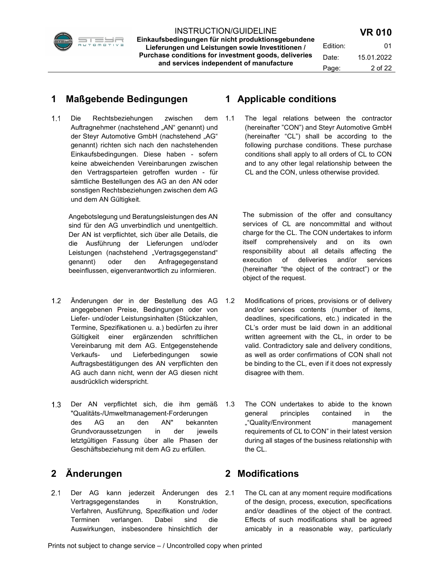

INSTRUCTION/GUIDELINE Einkaufsbedingungen für nicht produktionsgebundene Lieferungen und Leistungen sowie Investitionen / Purchase conditions for investment goods, deliveries and services independent of manufacture

## 1 Maßgebende Bedingungen

1.1 Die Rechtsbeziehungen zwischen dem Auftragnehmer (nachstehend "AN" genannt) und der Steyr Automotive GmbH (nachstehend "AG" genannt) richten sich nach den nachstehenden Einkaufsbedingungen. Diese haben - sofern keine abweichenden Vereinbarungen zwischen den Vertragsparteien getroffen wurden - für sämtliche Bestellungen des AG an den AN oder sonstigen Rechtsbeziehungen zwischen dem AG und dem AN Gültigkeit.

Angebotslegung und Beratungsleistungen des AN sind für den AG unverbindlich und unentgeltlich. Der AN ist verpflichtet, sich über alle Details, die die Ausführung der Lieferungen und/oder Leistungen (nachstehend "Vertragsgegenstand" genannt) oder den Anfragegegenstand beeinflussen, eigenverantwortlich zu informieren.

- 1.2 Änderungen der in der Bestellung des AG 1.2 angegebenen Preise, Bedingungen oder von Liefer- und/oder Leistungsinhalten (Stückzahlen, Termine, Spezifikationen u. a.) bedürfen zu ihrer Gültigkeit einer ergänzenden schriftlichen Vereinbarung mit dem AG. Entgegenstehende Verkaufs- und Lieferbedingungen sowie Auftragsbestätigungen des AN verpflichten den AG auch dann nicht, wenn der AG diesen nicht ausdrücklich widerspricht.
- 1.3 Der AN verpflichtet sich, die ihm gemäß 1.3 "Qualitäts-/Umweltmanagement-Forderungen des AG an den AN" bekannten Grundvoraussetzungen in der jeweils letztgültigen Fassung über alle Phasen der Geschäftsbeziehung mit dem AG zu erfüllen.

# 2 Änderungen

2.1 Der AG kann jederzeit Änderungen des Vertragsgegenstandes in Konstruktion, Verfahren, Ausführung, Spezifikation und /oder Terminen verlangen. Dabei sind die Auswirkungen, insbesondere hinsichtlich der

## 1 Applicable conditions

1.1 The legal relations between the contractor (hereinafter "CON") and Steyr Automotive GmbH (hereinafter "CL") shall be according to the following purchase conditions. These purchase conditions shall apply to all orders of CL to CON and to any other legal relationship between the CL and the CON, unless otherwise provided.

> The submission of the offer and consultancy services of CL are noncommittal and without charge for the CL. The CON undertakes to inform itself comprehensively and on its own responsibility about all details affecting the execution of deliveries and/or services (hereinafter "the object of the contract") or the object of the request.

- Modifications of prices, provisions or of delivery and/or services contents (number of items, deadlines, specifications, etc.) indicated in the CL's order must be laid down in an additional written agreement with the CL, in order to be valid. Contradictory sale and delivery conditions, as well as order confirmations of CON shall not be binding to the CL, even if it does not expressly disagree with them.
- The CON undertakes to abide to the known general principles contained in the ""Quality/Environment management requirements of CL to CON" in their latest version during all stages of the business relationship with the CL.

# 2 Modifications

2.1 The CL can at any moment require modifications of the design, process, execution, specifications and/or deadlines of the object of the contract. Effects of such modifications shall be agreed amicably in a reasonable way, particularly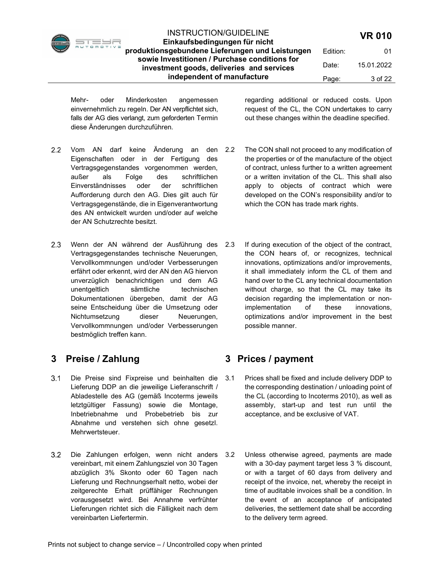

Einkaufsbedingungen für nicht produktionsgebundene Lieferungen und Leistungen sowie Investitionen / Purchase conditions for investment goods, deliveries and services independent of manufacture Edition: 01 Date: 15.01.2022 Page: 3 of 22

Mehr- oder Minderkosten angemessen einvernehmlich zu regeln. Der AN verpflichtet sich, falls der AG dies verlangt, zum geforderten Termin diese Änderungen durchzuführen.

regarding additional or reduced costs. Upon request of the CL, the CON undertakes to carry out these changes within the deadline specified.

- 2.2 Vom AN darf keine Änderung an den 2.2 Eigenschaften oder in der Fertigung des Vertragsgegenstandes vorgenommen werden, außer als Folge des schriftlichen Einverständnisses oder der schriftlichen Aufforderung durch den AG. Dies gilt auch für Vertragsgegenstände, die in Eigenverantwortung des AN entwickelt wurden und/oder auf welche der AN Schutzrechte besitzt.
- 2.3 Wenn der AN während der Ausführung des 2.3 Vertragsgegenstandes technische Neuerungen, Vervollkommnungen und/oder Verbesserungen erfährt oder erkennt, wird der AN den AG hiervon unverzüglich benachrichtigen und dem AG unentgeltlich sämtliche technischen Dokumentationen übergeben, damit der AG seine Entscheidung über die Umsetzung oder Nichtumsetzung dieser Neuerungen, Vervollkommnungen und/oder Verbesserungen bestmöglich treffen kann.

# 3 Preise / Zahlung

- Die Preise sind Fixpreise und beinhalten die Lieferung DDP an die jeweilige Lieferanschrift / Abladestelle des AG (gemäß Incoterms jeweils letztgültiger Fassung) sowie die Montage, Inbetriebnahme und Probebetrieb bis zur Abnahme und verstehen sich ohne gesetzl. Mehrwertsteuer.
- 3.2 Die Zahlungen erfolgen, wenn nicht anders 3.2 vereinbart, mit einem Zahlungsziel von 30 Tagen abzüglich 3% Skonto oder 60 Tagen nach Lieferung und Rechnungserhalt netto, wobei der zeitgerechte Erhalt prüffähiger Rechnungen vorausgesetzt wird. Bei Annahme verfrühter Lieferungen richtet sich die Fälligkeit nach dem vereinbarten Liefertermin.
- The CON shall not proceed to any modification of the properties or of the manufacture of the object of contract, unless further to a written agreement or a written invitation of the CL. This shall also apply to objects of contract which were developed on the CON's responsibility and/or to which the CON has trade mark rights.
- If during execution of the object of the contract, the CON hears of, or recognizes, technical innovations, optimizations and/or improvements, it shall immediately inform the CL of them and hand over to the CL any technical documentation without charge, so that the CL may take its decision regarding the implementation or nonimplementation of these innovations, optimizations and/or improvement in the best possible manner.

# 3 Prices / payment

- 3.1 Prices shall be fixed and include delivery DDP to the corresponding destination / unloading point of the CL (according to Incoterms 2010), as well as assembly, start-up and test run until the acceptance, and be exclusive of VAT.
- Unless otherwise agreed, payments are made with a 30-day payment target less 3 % discount, or with a target of 60 days from delivery and receipt of the invoice, net, whereby the receipt in time of auditable invoices shall be a condition. In the event of an acceptance of anticipated deliveries, the settlement date shall be according to the delivery term agreed.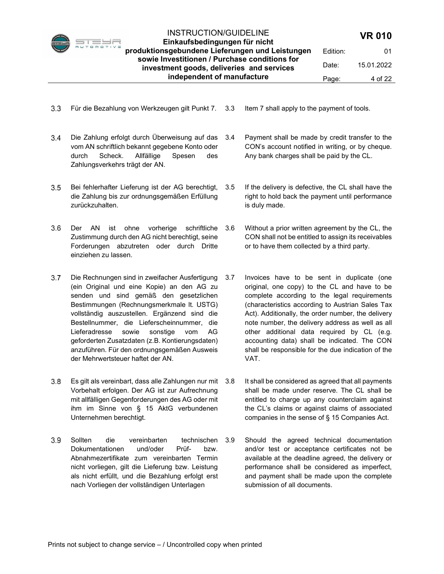

Einkaufsbedingungen für nicht produktionsgebundene Lieferungen und Leistungen sowie Investitionen / Purchase conditions for investment goods, deliveries and services independent of manufacture Edition: 01

Date: 15.01.2022 Page: 4 of 22

- Für die Bezahlung von Werkzeugen gilt Punkt 7. 3.3 Item 7 shall apply to the payment of tools.
	-
- Die Zahlung erfolgt durch Überweisung auf das vom AN schriftlich bekannt gegebene Konto oder durch Scheck. Allfällige Spesen des Zahlungsverkehrs trägt der AN.
- 3.5 Bei fehlerhafter Lieferung ist der AG berechtigt, 3.5 die Zahlung bis zur ordnungsgemäßen Erfüllung zurückzuhalten.
- 3.6 Der AN ist ohne vorherige schriftliche 3.6 Zustimmung durch den AG nicht berechtigt, seine Forderungen abzutreten oder durch Dritte einziehen zu lassen.
- 3.7 Die Rechnungen sind in zweifacher Ausfertigung 3.7 (ein Original und eine Kopie) an den AG zu senden und sind gemäß den gesetzlichen Bestimmungen (Rechnungsmerkmale lt. USTG) vollständig auszustellen. Ergänzend sind die Bestellnummer, die Lieferscheinnummer, die Lieferadresse sowie sonstige vom AG geforderten Zusatzdaten (z.B. Kontierungsdaten) anzuführen. Für den ordnungsgemäßen Ausweis der Mehrwertsteuer haftet der AN.
- Es gilt als vereinbart, dass alle Zahlungen nur mit Vorbehalt erfolgen. Der AG ist zur Aufrechnung mit allfälligen Gegenforderungen des AG oder mit ihm im Sinne von § 15 AktG verbundenen Unternehmen berechtigt.
- 3.9 Sollten die vereinbarten technischen 3.9 Dokumentationen und/oder Prüf- bzw. Abnahmezertifikate zum vereinbarten Termin nicht vorliegen, gilt die Lieferung bzw. Leistung als nicht erfüllt, und die Bezahlung erfolgt erst nach Vorliegen der vollständigen Unterlagen
- 3.4 Payment shall be made by credit transfer to the CON's account notified in writing, or by cheque. Any bank charges shall be paid by the CL.
	- If the delivery is defective, the CL shall have the right to hold back the payment until performance is duly made.
- Without a prior written agreement by the CL, the CON shall not be entitled to assign its receivables or to have them collected by a third party.
- Invoices have to be sent in duplicate (one original, one copy) to the CL and have to be complete according to the legal requirements (characteristics according to Austrian Sales Tax Act). Additionally, the order number, the delivery note number, the delivery address as well as all other additional data required by CL (e.g. accounting data) shall be indicated. The CON shall be responsible for the due indication of the VAT.
- It shall be considered as agreed that all payments shall be made under reserve. The CL shall be entitled to charge up any counterclaim against the CL's claims or against claims of associated companies in the sense of § 15 Companies Act.
- Should the agreed technical documentation and/or test or acceptance certificates not be available at the deadline agreed, the delivery or performance shall be considered as imperfect, and payment shall be made upon the complete submission of all documents.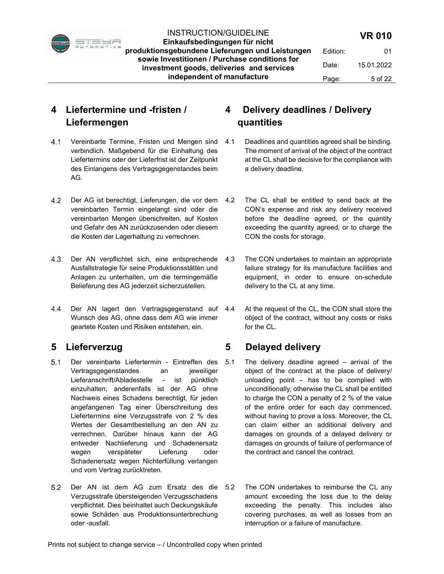

#### INSTRUCTION/GUIDELINE Einkaufsbedingungen für nicht

produktionsgebundene Lieferungen und Leistungen sowie Investitionen / Purchase conditions for investment goods, deliveries and services independent of manufacture

# 4 Liefertermine und -fristen / Liefermengen

- 4.1 Vereinbarte Termine, Fristen und Mengen sind 4.1 verbindlich. Maßgebend für die Einhaltung des Liefertermins oder der Lieferfrist ist der Zeitpunkt des Einlangens des Vertragsgegenstandes beim AG.
- 4.2 Der AG ist berechtigt, Lieferungen, die vor dem 4.2 vereinbarten Termin eingelangt sind oder die vereinbarten Mengen überschreiten, auf Kosten und Gefahr des AN zurückzusenden oder diesem die Kosten der Lagerhaltung zu verrechnen.
- 4.3 Der AN verpflichtet sich, eine entsprechende 4.3 Ausfallstrategie für seine Produktionsstätten und Anlagen zu unterhalten, um die termingemäße Belieferung des AG jederzeit sicherzustellen.
- 4.4 Der AN lagert den Vertragsgegenstand auf 4.4 Wunsch des AG, ohne dass dem AG wie immer geartete Kosten und Risiken entstehen, ein.

# 5 Lieferverzug

- Der vereinbarte Liefertermin Eintreffen des Vertragsgegenstandes an jeweiliger Lieferanschrift/Abladestelle - ist pünktlich einzuhalten; anderenfalls ist der AG ohne Nachweis eines Schadens berechtigt, für jeden angefangenen Tag einer Überschreitung des Liefertermins eine Verzugsstrafe von 2 % des Wertes der Gesamtbestellung an den AN zu verrechnen. Darüber hinaus kann der AG entweder Nachlieferung und Schadenersatz wegen verspäteter Lieferung oder Schadenersatz wegen Nichterfüllung verlangen und vom Vertrag zurücktreten.
- 5.2 Der AN ist dem AG zum Ersatz des die 5.2 Verzugsstrafe übersteigenden Verzugsschadens verpflichtet. Dies beinhaltet auch Deckungskäufe sowie Schäden aus Produktionsunterbrechung oder -ausfall.

# 4 Delivery deadlines / Delivery quantities

- Deadlines and quantities agreed shall be binding. The moment of arrival of the object of the contract at the CL shall be decisive for the compliance with a delivery deadline.
- The CL shall be entitled to send back at the CON's expense and risk any delivery received before the deadline agreed, or the quantity exceeding the quantity agreed, or to charge the CON the costs for storage.
- The CON undertakes to maintain an appropriate failure strategy for its manufacture facilities and equipment, in order to ensure on-schedule delivery to the CL at any time.
- At the request of the CL, the CON shall store the object of the contract, without any costs or risks for the CL.

# 5 Delayed delivery

- 5.1 The delivery deadline agreed arrival of the object of the contract at the place of delivery/ unloading point – has to be complied with unconditionally; otherwise the CL shall be entitled to charge the CON a penalty of 2 % of the value of the entire order for each day commenced, without having to prove a loss. Moreover, the CL can claim either an additional delivery and damages on grounds of a delayed delivery or damages on grounds of failure of performance of the contract and cancel the contract.
	- The CON undertakes to reimburse the CL any amount exceeding the loss due to the delay exceeding the penalty. This includes also covering purchases, as well as losses from an interruption or a failure of manufacture.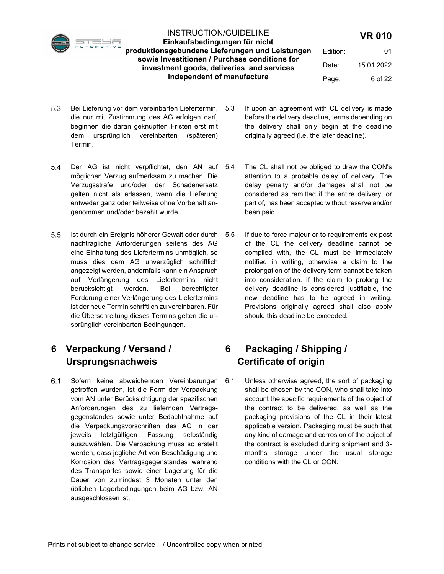

Einkaufsbedingungen für nicht produktionsgebundene Lieferungen und Leistungen sowie Investitionen / Purchase conditions for investment goods, deliveries and services independent of manufacture

- 5.3 Bei Lieferung vor dem vereinbarten Liefertermin, 5.3 die nur mit Zustimmung des AG erfolgen darf, beginnen die daran geknüpften Fristen erst mit dem ursprünglich vereinbarten (späteren) Termin.
- 5.4 Der AG ist nicht verpflichtet, den AN auf 5.4 möglichen Verzug aufmerksam zu machen. Die Verzugsstrafe und/oder der Schadenersatz gelten nicht als erlassen, wenn die Lieferung entweder ganz oder teilweise ohne Vorbehalt angenommen und/oder bezahlt wurde.
- 5.5 Ist durch ein Ereignis höherer Gewalt oder durch 5.5 nachträgliche Anforderungen seitens des AG eine Einhaltung des Liefertermins unmöglich, so muss dies dem AG unverzüglich schriftlich angezeigt werden, andernfalls kann ein Anspruch auf Verlängerung des Liefertermins nicht berücksichtigt werden. Bei berechtigter Forderung einer Verlängerung des Liefertermins ist der neue Termin schriftlich zu vereinbaren. Für die Überschreitung dieses Termins gelten die ursprünglich vereinbarten Bedingungen.

# 6 Verpackung / Versand / Ursprungsnachweis

6.1 Sofern keine abweichenden Vereinbarungen 6.1 getroffen wurden, ist die Form der Verpackung vom AN unter Berücksichtigung der spezifischen Anforderungen des zu liefernden Vertragsgegenstandes sowie unter Bedachtnahme auf die Verpackungsvorschriften des AG in der jeweils letztgültigen Fassung selbständig auszuwählen. Die Verpackung muss so erstellt werden, dass jegliche Art von Beschädigung und Korrosion des Vertragsgegenstandes während des Transportes sowie einer Lagerung für die Dauer von zumindest 3 Monaten unter den üblichen Lagerbedingungen beim AG bzw. AN ausgeschlossen ist.

- If upon an agreement with CL delivery is made before the delivery deadline, terms depending on the delivery shall only begin at the deadline originally agreed (i.e. the later deadline).
- The CL shall not be obliged to draw the CON's attention to a probable delay of delivery. The delay penalty and/or damages shall not be considered as remitted if the entire delivery, or part of, has been accepted without reserve and/or been paid.
- If due to force majeur or to requirements ex post of the CL the delivery deadline cannot be complied with, the CL must be immediately notified in writing, otherwise a claim to the prolongation of the delivery term cannot be taken into consideration. If the claim to prolong the delivery deadline is considered justifiable, the new deadline has to be agreed in writing. Provisions originally agreed shall also apply should this deadline be exceeded.

# 6 Packaging / Shipping / Certificate of origin

Unless otherwise agreed, the sort of packaging shall be chosen by the CON, who shall take into account the specific requirements of the object of the contract to be delivered, as well as the packaging provisions of the CL in their latest applicable version. Packaging must be such that any kind of damage and corrosion of the object of the contract is excluded during shipment and 3 months storage under the usual storage conditions with the CL or CON.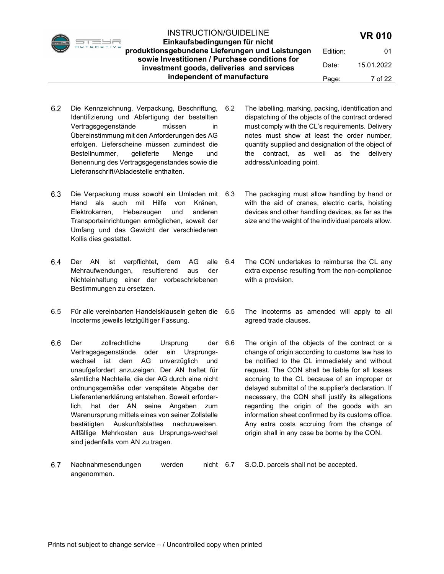

Einkaufsbedingungen für nicht produktionsgebundene Lieferungen und Leistungen sowie Investitionen / Purchase conditions for investment goods, deliveries and services independent of manufacture Page: 7 of 22

Edition: 01 Date: 15.01.2022

- 6.2 Die Kennzeichnung, Verpackung, Beschriftung, Identifizierung und Abfertigung der bestellten Vertragsgegenstände müssen in Übereinstimmung mit den Anforderungen des AG erfolgen. Lieferscheine müssen zumindest die Bestellnummer, gelieferte Menge und Benennung des Vertragsgegenstandes sowie die Lieferanschrift/Abladestelle enthalten.
- 6.3 Die Verpackung muss sowohl ein Umladen mit 6.3 Hand als auch mit Hilfe von Kränen, Elektrokarren, Hebezeugen und anderen Transporteinrichtungen ermöglichen, soweit der Umfang und das Gewicht der verschiedenen Kollis dies gestattet.
- 6.4 Der AN ist verpflichtet, dem AG alle 6.4 Mehraufwendungen, resultierend aus der Nichteinhaltung einer der vorbeschriebenen Bestimmungen zu ersetzen.
- 6.5 Für alle vereinbarten Handelsklauseln gelten die 6.5 Incoterms jeweils letztgültiger Fassung.
- 6.6 Der zollrechtliche Ursprung der 6.6 Vertragsgegenstände oder ein Ursprungswechsel ist dem AG unverzüglich und unaufgefordert anzuzeigen. Der AN haftet für sämtliche Nachteile, die der AG durch eine nicht ordnungsgemäße oder verspätete Abgabe der Lieferantenerklärung entstehen. Soweit erforderlich, hat der AN seine Angaben zum Warenursprung mittels eines von seiner Zollstelle bestätigten Auskunftsblattes nachzuweisen. Allfällige Mehrkosten aus Ursprungs-wechsel sind jedenfalls vom AN zu tragen.
- 6.7 Nachnahmesendungen werden nicht 6.7 angenommen. S.O.D. parcels shall not be accepted.

dispatching of the objects of the contract ordered must comply with the CL's requirements. Delivery notes must show at least the order number, quantity supplied and designation of the object of the contract, as well as the delivery address/unloading point.

6.2 The labelling, marking, packing, identification and

- The packaging must allow handling by hand or with the aid of cranes, electric carts, hoisting devices and other handling devices, as far as the size and the weight of the individual parcels allow.
- The CON undertakes to reimburse the CL any extra expense resulting from the non-compliance with a provision.
- The Incoterms as amended will apply to all agreed trade clauses.
- The origin of the objects of the contract or a change of origin according to customs law has to be notified to the CL immediately and without request. The CON shall be liable for all losses accruing to the CL because of an improper or delayed submittal of the supplier's declaration. If necessary, the CON shall justify its allegations regarding the origin of the goods with an information sheet confirmed by its customs office. Any extra costs accruing from the change of origin shall in any case be borne by the CON.

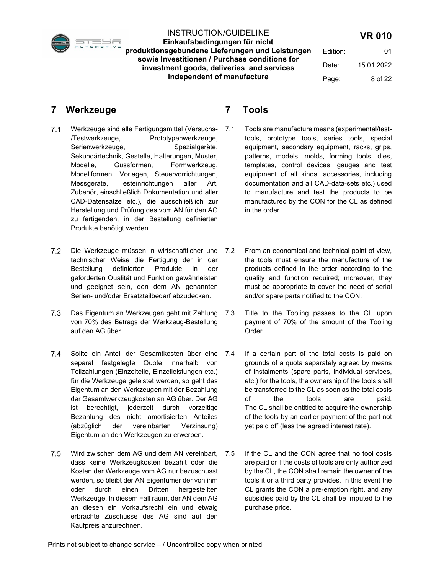

Einkaufsbedingungen für nicht produktionsgebundene Lieferungen und Leistungen sowie Investitionen / Purchase conditions for investment goods, deliveries and services independent of manufacture

Date: 15.01.2022

# 7 Werkzeuge

- Werkzeuge sind alle Fertigungsmittel (Versuchs- /Testwerkzeuge, Prototypenwerkzeuge, Serienwerkzeuge, Spezialgeräte, Sekundärtechnik, Gestelle, Halterungen, Muster, Modelle, Gussformen, Formwerkzeug, Modellformen, Vorlagen, Steuervorrichtungen, Messgeräte, Testeinrichtungen aller Art, Zubehör, einschließlich Dokumentation und aller CAD-Datensätze etc.), die ausschließlich zur Herstellung und Prüfung des vom AN für den AG zu fertigenden, in der Bestellung definierten Produkte benötigt werden.
- 7.2 Die Werkzeuge müssen in wirtschaftlicher und 7.2 technischer Weise die Fertigung der in der Bestellung definierten Produkte in der geforderten Qualität und Funktion gewährleisten und geeignet sein, den dem AN genannten Serien- und/oder Ersatzteilbedarf abzudecken.
- 7.3 Das Eigentum an Werkzeugen geht mit Zahlung 7.3 von 70% des Betrags der Werkzeug-Bestellung auf den AG über.
- 7.4 Sollte ein Anteil der Gesamtkosten über eine 7.4 separat festgelegte Quote innerhalb von Teilzahlungen (Einzelteile, Einzelleistungen etc.) für die Werkzeuge geleistet werden, so geht das Eigentum an den Werkzeugen mit der Bezahlung der Gesamtwerkzeugkosten an AG über. Der AG ist berechtigt, jederzeit durch vorzeitige Bezahlung des nicht amortisierten Anteiles (abzüglich der vereinbarten Verzinsung) Eigentum an den Werkzeugen zu erwerben.
- 7.5 Wird zwischen dem AG und dem AN vereinbart, 7.5 dass keine Werkzeugkosten bezahlt oder die Kosten der Werkzeuge vom AG nur bezuschusst werden, so bleibt der AN Eigentümer der von ihm oder durch einen Dritten hergestellten Werkzeuge. In diesem Fall räumt der AN dem AG an diesen ein Vorkaufsrecht ein und etwaig erbrachte Zuschüsse des AG sind auf den Kaufpreis anzurechnen.

# 7 Tools

- 7.1 Tools are manufacture means (experimental/testtools, prototype tools, series tools, special equipment, secondary equipment, racks, grips, patterns, models, molds, forming tools, dies, templates, control devices, gauges and test equipment of all kinds, accessories, including documentation and all CAD-data-sets etc.) used to manufacture and test the products to be manufactured by the CON for the CL as defined in the order.
- From an economical and technical point of view, the tools must ensure the manufacture of the products defined in the order according to the quality and function required; moreover, they must be appropriate to cover the need of serial and/or spare parts notified to the CON.
- Title to the Tooling passes to the CL upon payment of 70% of the amount of the Tooling Order.
- If a certain part of the total costs is paid on grounds of a quota separately agreed by means of instalments (spare parts, individual services, etc.) for the tools, the ownership of the tools shall be transferred to the CL as soon as the total costs of the tools are paid. The CL shall be entitled to acquire the ownership of the tools by an earlier payment of the part not yet paid off (less the agreed interest rate).
- If the CL and the CON agree that no tool costs are paid or if the costs of tools are only authorized by the CL, the CON shall remain the owner of the tools it or a third party provides. In this event the CL grants the CON a pre-emption right, and any subsidies paid by the CL shall be imputed to the purchase price.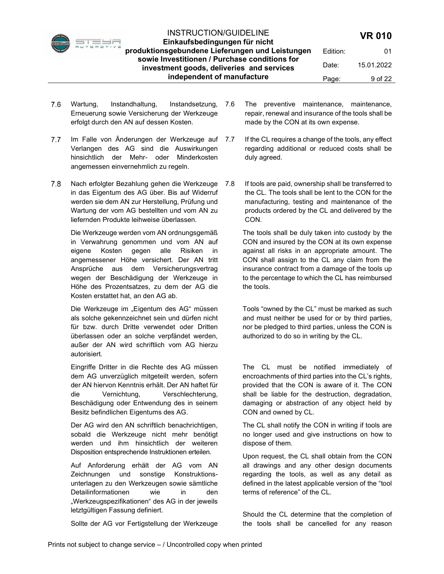

Einkaufsbedingungen für nicht produktionsgebundene Lieferungen und Leistungen sowie Investitionen / Purchase conditions for investment goods, deliveries and services independent of manufacture Edition: 01 Date: 15.01.2022 Page: 9 of 22

- 7.6 Wartung, Instandhaltung, Instandsetzung, 7.6 Erneuerung sowie Versicherung der Werkzeuge erfolgt durch den AN auf dessen Kosten.
- 7.7 Im Falle von Änderungen der Werkzeuge auf 7.7 Verlangen des AG sind die Auswirkungen hinsichtlich der Mehr- oder Minderkosten angemessen einvernehmlich zu regeln.
- 7.8 Nach erfolgter Bezahlung gehen die Werkzeuge 7.8 in das Eigentum des AG über. Bis auf Widerruf werden sie dem AN zur Herstellung, Prüfung und Wartung der vom AG bestellten und vom AN zu liefernden Produkte leihweise überlassen.

Die Werkzeuge werden vom AN ordnungsgemäß in Verwahrung genommen und vom AN auf eigene Kosten gegen alle Risiken in angemessener Höhe versichert. Der AN tritt Ansprüche aus dem Versicherungsvertrag wegen der Beschädigung der Werkzeuge in Höhe des Prozentsatzes, zu dem der AG die Kosten erstattet hat, an den AG ab.

Die Werkzeuge im "Eigentum des AG" müssen als solche gekennzeichnet sein und dürfen nicht für bzw. durch Dritte verwendet oder Dritten überlassen oder an solche verpfändet werden, außer der AN wird schriftlich vom AG hierzu autorisiert.

Eingriffe Dritter in die Rechte des AG müssen dem AG unverzüglich mitgeteilt werden, sofern der AN hiervon Kenntnis erhält. Der AN haftet für die Vernichtung, Verschlechterung, Beschädigung oder Entwendung des in seinem Besitz befindlichen Eigentums des AG.

Der AG wird den AN schriftlich benachrichtigen, sobald die Werkzeuge nicht mehr benötigt werden und ihm hinsichtlich der weiteren Disposition entsprechende Instruktionen erteilen.

Auf Anforderung erhält der AG vom AN Zeichnungen und sonstige Konstruktionsunterlagen zu den Werkzeugen sowie sämtliche Detailinformationen wie in den "Werkzeugspezifikationen" des AG in der jeweils letztgültigen Fassung definiert.

Sollte der AG vor Fertigstellung der Werkzeuge

- The preventive maintenance, maintenance, repair, renewal and insurance of the tools shall be made by the CON at its own expense.
- If the CL requires a change of the tools, any effect regarding additional or reduced costs shall be duly agreed.
- If tools are paid, ownership shall be transferred to the CL. The tools shall be lent to the CON for the manufacturing, testing and maintenance of the products ordered by the CL and delivered by the CON.

The tools shall be duly taken into custody by the CON and insured by the CON at its own expense against all risks in an appropriate amount. The CON shall assign to the CL any claim from the insurance contract from a damage of the tools up to the percentage to which the CL has reimbursed the tools.

Tools "owned by the CL" must be marked as such and must neither be used for or by third parties, nor be pledged to third parties, unless the CON is authorized to do so in writing by the CL.

The CL must be notified immediately of encroachments of third parties into the CL's rights, provided that the CON is aware of it. The CON shall be liable for the destruction, degradation, damaging or abstraction of any object held by CON and owned by CL.

The CL shall notify the CON in writing if tools are no longer used and give instructions on how to dispose of them.

Upon request, the CL shall obtain from the CON all drawings and any other design documents regarding the tools, as well as any detail as defined in the latest applicable version of the "tool terms of reference" of the CL.

Should the CL determine that the completion of the tools shall be cancelled for any reason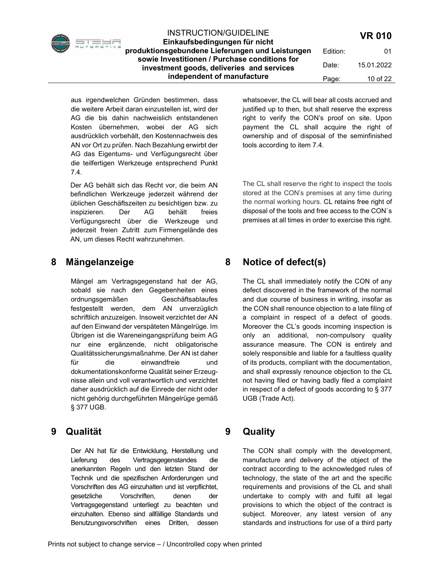Einkaufsbedingungen für nicht produktionsgebundene Lieferungen und Leistungen sowie Investitionen / Purchase conditions for investment goods, deliveries and services independent of manufacture Edition: 01

Date: 15.01.2022 Page: 10 of 22

aus irgendwelchen Gründen bestimmen, dass die weitere Arbeit daran einzustellen ist, wird der AG die bis dahin nachweislich entstandenen Kosten übernehmen, wobei der AG sich ausdrücklich vorbehält, den Kostennachweis des AN vor Ort zu prüfen. Nach Bezahlung erwirbt der AG das Eigentums- und Verfügungsrecht über die teilfertigen Werkzeuge entsprechend Punkt 7.4.

Der AG behält sich das Recht vor, die beim AN befindlichen Werkzeuge jederzeit während der üblichen Geschäftszeiten zu besichtigen bzw. zu inspizieren. Der AG behält freies Verfügungsrecht über die Werkzeuge und jederzeit freien Zutritt zum Firmengelände des AN, um dieses Recht wahrzunehmen.

## 8 Mängelanzeige

Mängel am Vertragsgegenstand hat der AG, sobald sie nach den Gegebenheiten eines ordnungsgemäßen Geschäftsablaufes festgestellt werden, dem AN unverzüglich schriftlich anzuzeigen. Insoweit verzichtet der AN auf den Einwand der verspäteten Mängelrüge. Im Übrigen ist die Wareneingangsprüfung beim AG nur eine ergänzende, nicht obligatorische Qualitätssicherungsmaßnahme. Der AN ist daher für die einwandfreie und dokumentationskonforme Qualität seiner Erzeugnisse allein und voll verantwortlich und verzichtet daher ausdrücklich auf die Einrede der nicht oder nicht gehörig durchgeführten Mängelrüge gemäß § 377 UGB.

## 9 Qualität

Der AN hat für die Entwicklung, Herstellung und Lieferung des Vertragsgegenstandes die anerkannten Regeln und den letzten Stand der Technik und die spezifischen Anforderungen und Vorschriften des AG einzuhalten und ist verpflichtet, gesetzliche Vorschriften, denen der Vertragsgegenstand unterliegt zu beachten und einzuhalten. Ebenso sind allfällige Standards und Benutzungsvorschriften eines Dritten, dessen whatsoever, the CL will bear all costs accrued and justified up to then, but shall reserve the express right to verify the CON's proof on site. Upon payment the CL shall acquire the right of ownership and of disposal of the seminfinished tools according to item 7.4.

The CL shall reserve the right to inspect the tools stored at the CON's premises at any time during the normal working hours. CL retains free right of disposal of the tools and free access to the CON`s premises at all times in order to exercise this right.

8 Notice of defect(s)

The CL shall immediately notify the CON of any defect discovered in the framework of the normal and due course of business in writing, insofar as the CON shall renounce objection to a late filing of a complaint in respect of a defect of goods. Moreover the CL's goods incoming inspection is only an additional, non-compulsory quality assurance measure. The CON is entirely and solely responsible and liable for a faultless quality of its products, compliant with the documentation, and shall expressly renounce objection to the CL not having filed or having badly filed a complaint in respect of a defect of goods according to § 377 UGB (Trade Act).

# 9 Quality

The CON shall comply with the development, manufacture and delivery of the object of the contract according to the acknowledged rules of technology, the state of the art and the specific requirements and provisions of the CL and shall undertake to comply with and fulfil all legal provisions to which the object of the contract is subject. Moreover, any latest version of any standards and instructions for use of a third party

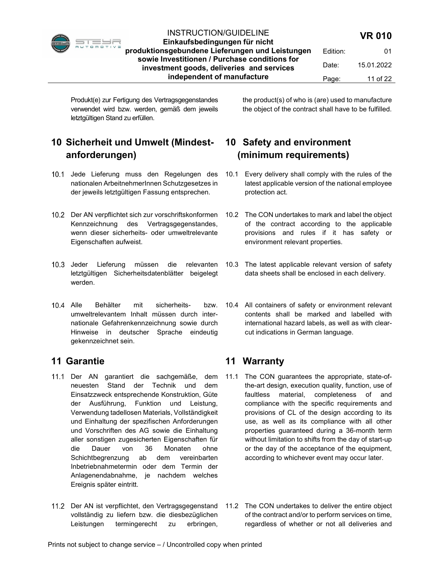

#### INSTRUCTION/GUIDELINE Einkaufsbedingungen für nicht

produktionsgebundene Lieferungen und Leistungen sowie Investitionen / Purchase conditions for investment goods, deliveries and services independent of manufacture

Date: 15.01.2022 Page: 11 of 22

Produkt(e) zur Fertigung des Vertragsgegenstandes verwendet wird bzw. werden, gemäß dem jeweils letztgültigen Stand zu erfüllen.

# 10 Sicherheit und Umwelt (Mindestanforderungen)

- 10.1 Jede Lieferung muss den Regelungen des nationalen ArbeitnehmerInnen Schutzgesetzes in der jeweils letztgültigen Fassung entsprechen.
- 10.2 Der AN verpflichtet sich zur vorschriftskonformen Kennzeichnung des Vertragsgegenstandes, wenn dieser sicherheits- oder umweltrelevante Eigenschaften aufweist.
- 10.3 Jeder Lieferung müssen die relevanten letztgültigen Sicherheitsdatenblätter beigelegt werden.
- Alle Behälter mit sicherheits- bzw. umweltrelevantem Inhalt müssen durch internationale Gefahrenkennzeichnung sowie durch Hinweise in deutscher Sprache eindeutig gekennzeichnet sein.

# 11 Garantie

- 11.1 Der AN garantiert die sachgemäße, dem neuesten Stand der Technik und dem Einsatzzweck entsprechende Konstruktion, Güte der Ausführung, Funktion und Leistung, Verwendung tadellosen Materials, Vollständigkeit und Einhaltung der spezifischen Anforderungen und Vorschriften des AG sowie die Einhaltung aller sonstigen zugesicherten Eigenschaften für die Dauer von 36 Monaten ohne Schichtbegrenzung ab dem vereinbarten Inbetriebnahmetermin oder dem Termin der Anlagenendabnahme, je nachdem welches Ereignis später eintritt.
- 11.2 Der AN ist verpflichtet, den Vertragsgegenstand vollständig zu liefern bzw. die diesbezüglichen Leistungen termingerecht zu erbringen,

the product(s) of who is (are) used to manufacture the object of the contract shall have to be fulfilled.

# 10 Safety and environment (minimum requirements)

- 10.1 Every delivery shall comply with the rules of the latest applicable version of the national employee protection act.
- 10.2 The CON undertakes to mark and label the object of the contract according to the applicable provisions and rules if it has safety or environment relevant properties.
- 10.3 The latest applicable relevant version of safety data sheets shall be enclosed in each delivery.
- 10.4 All containers of safety or environment relevant contents shall be marked and labelled with international hazard labels, as well as with clearcut indications in German language.

# 11 Warranty

- 11.1 The CON guarantees the appropriate, state-ofthe-art design, execution quality, function, use of faultless material, completeness of and compliance with the specific requirements and provisions of CL of the design according to its use, as well as its compliance with all other properties guaranteed during a 36-month term without limitation to shifts from the day of start-up or the day of the acceptance of the equipment, according to whichever event may occur later.
- 11.2 The CON undertakes to deliver the entire object of the contract and/or to perform services on time, regardless of whether or not all deliveries and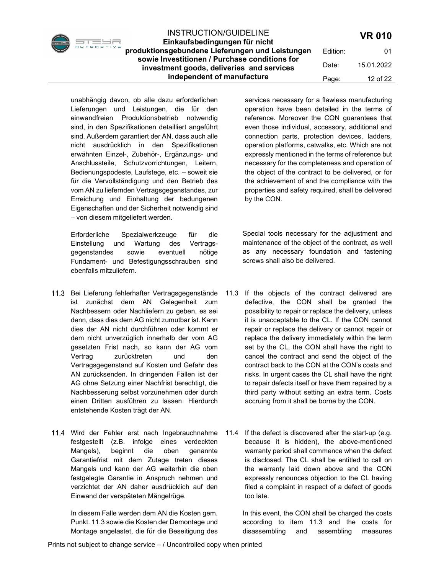Date: 15.01.2022 Page: 12 of 22

unabhängig davon, ob alle dazu erforderlichen Lieferungen und Leistungen, die für den einwandfreien Produktionsbetrieb notwendig sind, in den Spezifikationen detailliert angeführt sind. Außerdem garantiert der AN, dass auch alle nicht ausdrücklich in den Spezifikationen erwähnten Einzel-, Zubehör-, Ergänzungs- und Anschlussteile, Schutzvorrichtungen, Leitern, Bedienungspodeste, Laufstege, etc. – soweit sie für die Vervollständigung und den Betrieb des vom AN zu liefernden Vertragsgegenstandes, zur Erreichung und Einhaltung der bedungenen Eigenschaften und der Sicherheit notwendig sind – von diesem mitgeliefert werden.

Erforderliche Spezialwerkzeuge für die Einstellung und Wartung des Vertragsgegenstandes sowie eventuell nötige Fundament- und Befestigungsschrauben sind ebenfalls mitzuliefern.

- 11.3 Bei Lieferung fehlerhafter Vertragsgegenstände ist zunächst dem AN Gelegenheit zum Nachbessern oder Nachliefern zu geben, es sei denn, dass dies dem AG nicht zumutbar ist. Kann dies der AN nicht durchführen oder kommt er dem nicht unverzüglich innerhalb der vom AG gesetzten Frist nach, so kann der AG vom Vertrag zurücktreten und den Vertragsgegenstand auf Kosten und Gefahr des AN zurücksenden. In dringenden Fällen ist der AG ohne Setzung einer Nachfrist berechtigt, die Nachbesserung selbst vorzunehmen oder durch einen Dritten ausführen zu lassen. Hierdurch entstehende Kosten trägt der AN.
- 11.4 Wird der Fehler erst nach Ingebrauchnahme 11.4 festgestellt (z.B. infolge eines verdeckten Mangels), beginnt die oben genannte Garantiefrist mit dem Zutage treten dieses Mangels und kann der AG weiterhin die oben festgelegte Garantie in Anspruch nehmen und verzichtet der AN daher ausdrücklich auf den Einwand der verspäteten Mängelrüge.

In diesem Falle werden dem AN die Kosten gem. Punkt. 11.3 sowie die Kosten der Demontage und Montage angelastet, die für die Beseitigung des services necessary for a flawless manufacturing operation have been detailed in the terms of reference. Moreover the CON guarantees that even those individual, accessory, additional and connection parts, protection devices, ladders, operation platforms, catwalks, etc. Which are not expressly mentioned in the terms of reference but necessary for the completeness and operation of the object of the contract to be delivered, or for the achievement of and the compliance with the properties and safety required, shall be delivered by the CON.

Special tools necessary for the adjustment and maintenance of the object of the contract, as well as any necessary foundation and fastening screws shall also be delivered.

- 11.3 If the objects of the contract delivered are defective, the CON shall be granted the possibility to repair or replace the delivery, unless it is unacceptable to the CL. If the CON cannot repair or replace the delivery or cannot repair or replace the delivery immediately within the term set by the CL, the CON shall have the right to cancel the contract and send the object of the contract back to the CON at the CON's costs and risks. In urgent cases the CL shall have the right to repair defects itself or have them repaired by a third party without setting an extra term. Costs accruing from it shall be borne by the CON.
	- If the defect is discovered after the start-up (e.g. because it is hidden), the above-mentioned warranty period shall commence when the defect is disclosed. The CL shall be entitled to call on the warranty laid down above and the CON expressly renounces objection to the CL having filed a complaint in respect of a defect of goods too late.

In this event, the CON shall be charged the costs according to item 11.3 and the costs for disassembling and assembling measures

 $\overline{\phantom{a}}$ 

INSTRUCTION/GUIDELINE Einkaufsbedingungen für nicht produktionsgebundene Lieferungen und Leistungen sowie Investitionen / Purchase conditions for investment goods, deliveries and services

independent of manufacture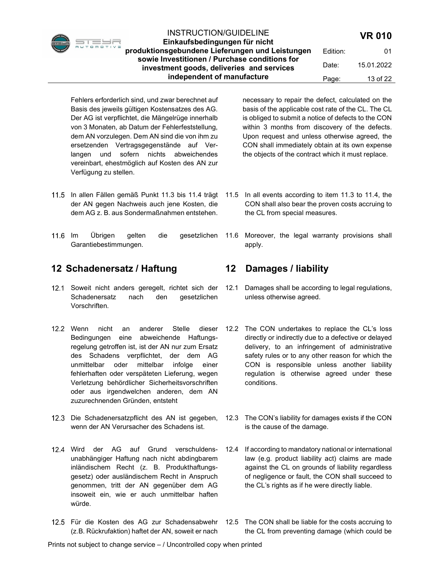Einkaufsbedingungen für nicht produktionsgebundene Lieferungen und Leistungen sowie Investitionen / Purchase conditions for investment goods, deliveries and services independent of manufacture Edition: 01 Date: 15.01.2022 Page: 13 of 22

Fehlers erforderlich sind, und zwar berechnet auf Basis des jeweils gültigen Kostensatzes des AG. Der AG ist verpflichtet, die Mängelrüge innerhalb von 3 Monaten, ab Datum der Fehlerfeststellung, dem AN vorzulegen. Dem AN sind die von ihm zu ersetzenden Vertragsgegenstände auf Verlangen und sofern nichts abweichendes vereinbart, ehestmöglich auf Kosten des AN zur Verfügung zu stellen.

- der AN gegen Nachweis auch jene Kosten, die dem AG z. B. aus Sondermaßnahmen entstehen.
- Garantiebestimmungen.

## 12 Schadenersatz / Haftung

- 12.1 Soweit nicht anders geregelt, richtet sich der Schadenersatz nach den gesetzlichen Vorschriften.
- 12.2 Wenn nicht an anderer Stelle dieser Bedingungen eine abweichende Haftungsregelung getroffen ist, ist der AN nur zum Ersatz des Schadens verpflichtet, der dem AG unmittelbar oder mittelbar infolge einer fehlerhaften oder verspäteten Lieferung, wegen Verletzung behördlicher Sicherheitsvorschriften oder aus irgendwelchen anderen, dem AN zuzurechnenden Gründen, entsteht
- 12.3 Die Schadenersatzpflicht des AN ist gegeben, wenn der AN Verursacher des Schadens ist.
- 12.4 Wird der AG auf Grund verschuldensunabhängiger Haftung nach nicht abdingbarem inländischem Recht (z. B. Produkthaftungsgesetz) oder ausländischem Recht in Anspruch genommen, tritt der AN gegenüber dem AG insoweit ein, wie er auch unmittelbar haften würde.
- Für die Kosten des AG zur Schadensabwehr (z.B. Rückrufaktion) haftet der AN, soweit er nach

necessary to repair the defect, calculated on the basis of the applicable cost rate of the CL. The CL is obliged to submit a notice of defects to the CON within 3 months from discovery of the defects. Upon request and unless otherwise agreed, the CON shall immediately obtain at its own expense the objects of the contract which it must replace.

- In allen Fällen gemäß Punkt 11.3 bis 11.4 trägt 11.5 In all events according to item 11.3 to 11.4, the CON shall also bear the proven costs accruing to the CL from special measures.
- Im Übrigen gelten die gesetzlichen 11.6 Moreover, the legal warranty provisions shall apply.

## 12 Damages / liability

- 12.1 Damages shall be according to legal regulations, unless otherwise agreed.
- 12.2 The CON undertakes to replace the CL's loss directly or indirectly due to a defective or delayed delivery, to an infringement of administrative safety rules or to any other reason for which the CON is responsible unless another liability regulation is otherwise agreed under these conditions.
- 12.3 The CON's liability for damages exists if the CON is the cause of the damage.
- 12.4 If according to mandatory national or international law (e.g. product liability act) claims are made against the CL on grounds of liability regardless of negligence or fault, the CON shall succeed to the CL's rights as if he were directly liable.
- 12.5 The CON shall be liable for the costs accruing to the CL from preventing damage (which could be

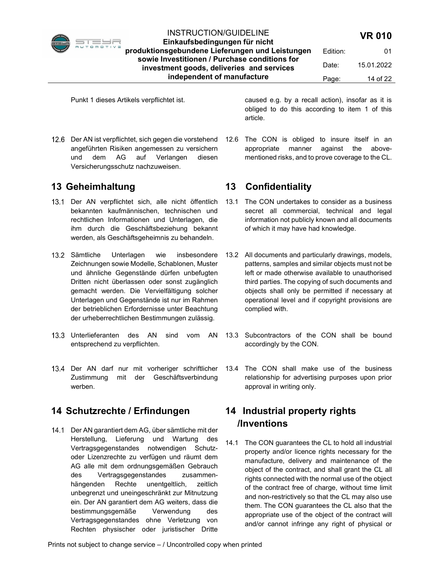

Einkaufsbedingungen für nicht produktionsgebundene Lieferungen und Leistungen sowie Investitionen / Purchase conditions for investment goods, deliveries and services independent of manufacture Edition: 01 Date: 15.01.2022 Page: 14 of 22

12.6 Der AN ist verpflichtet, sich gegen die vorstehend angeführten Risiken angemessen zu versichern und dem AG auf Verlangen diesen Versicherungsschutz nachzuweisen.

## 13 Geheimhaltung

- 13.1 Der AN verpflichtet sich, alle nicht öffentlich bekannten kaufmännischen, technischen und rechtlichen Informationen und Unterlagen, die ihm durch die Geschäftsbeziehung bekannt werden, als Geschäftsgeheimnis zu behandeln.
- 13.2 Sämtliche Unterlagen wie insbesondere Zeichnungen sowie Modelle, Schablonen, Muster und ähnliche Gegenstände dürfen unbefugten Dritten nicht überlassen oder sonst zugänglich gemacht werden. Die Vervielfältigung solcher Unterlagen und Gegenstände ist nur im Rahmen der betrieblichen Erfordernisse unter Beachtung der urheberrechtlichen Bestimmungen zulässig.
- 13.3 Unterlieferanten des AN sind vom AN entsprechend zu verpflichten.
- 13.4 Der AN darf nur mit vorheriger schriftlicher Zustimmung mit der Geschäftsverbindung werben.

# 14 Schutzrechte / Erfindungen

14.1 Der AN garantiert dem AG, über sämtliche mit der Herstellung, Lieferung und Wartung des Vertragsgegenstandes notwendigen Schutzoder Lizenzrechte zu verfügen und räumt dem AG alle mit dem ordnungsgemäßen Gebrauch des Vertragsgegenstandes zusammenhängenden Rechte unentgeltlich, zeitlich unbegrenzt und uneingeschränkt zur Mitnutzung ein. Der AN garantiert dem AG weiters, dass die bestimmungsgemäße Verwendung des Vertragsgegenstandes ohne Verletzung von Rechten physischer oder juristischer Dritte

Punkt 1 dieses Artikels verpflichtet ist. caused e.g. by a recall action), insofar as it is obliged to do this according to item 1 of this article.

> 12.6 The CON is obliged to insure itself in an appropriate manner against the abovementioned risks, and to prove coverage to the CL.

# 13 Confidentiality

- 13.1 The CON undertakes to consider as a business secret all commercial, technical and legal information not publicly known and all documents of which it may have had knowledge.
- 13.2 All documents and particularly drawings, models, patterns, samples and similar objects must not be left or made otherwise available to unauthorised third parties. The copying of such documents and objects shall only be permitted if necessary at operational level and if copyright provisions are complied with.
- 13.3 Subcontractors of the CON shall be bound accordingly by the CON.
- 13.4 The CON shall make use of the business relationship for advertising purposes upon prior approval in writing only.

# 14 Industrial property rights /Inventions

14.1 The CON guarantees the CL to hold all industrial property and/or licence rights necessary for the manufacture, delivery and maintenance of the object of the contract, and shall grant the CL all rights connected with the normal use of the object of the contract free of charge, without time limit and non-restrictively so that the CL may also use them. The CON guarantees the CL also that the appropriate use of the object of the contract will and/or cannot infringe any right of physical or

Prints not subject to change service – / Uncontrolled copy when printed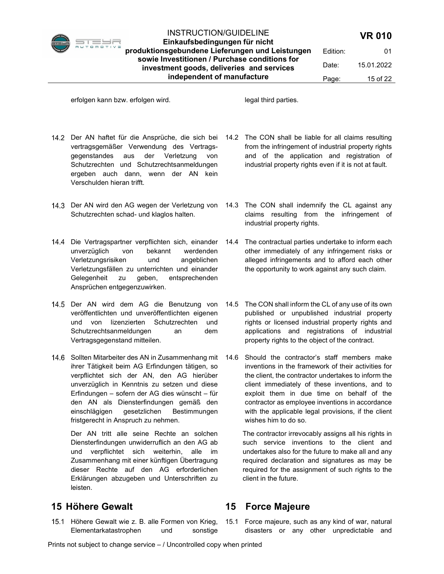

Edition: 01 Date: 15.01.2022 Page: 15 of 22

erfolgen kann bzw. erfolgen wird. legal third parties.

- vertragsgemäßer Verwendung des Vertragsgegenstandes aus der Verletzung von Schutzrechten und Schutzrechtsanmeldungen ergeben auch dann, wenn der AN kein Verschulden hieran trifft.
- Schutzrechten schad- und klaglos halten.
- unverzüglich von bekannt werdenden Verletzungsrisiken und angeblichen Verletzungsfällen zu unterrichten und einander Gelegenheit zu geben, entsprechenden Ansprüchen entgegenzuwirken.
- 14.5 Der AN wird dem AG die Benutzung von veröffentlichten und unveröffentlichten eigenen und von lizenzierten Schutzrechten und Schutzrechtsanmeldungen an dem Vertragsgegenstand mitteilen.
- 14.6 Sollten Mitarbeiter des AN in Zusammenhang mit ihrer Tätigkeit beim AG Erfindungen tätigen, so verpflichtet sich der AN, den AG hierüber unverzüglich in Kenntnis zu setzen und diese Erfindungen – sofern der AG dies wünscht – für den AN als Diensterfindungen gemäß den einschlägigen gesetzlichen Bestimmungen fristgerecht in Anspruch zu nehmen.

Der AN tritt alle seine Rechte an solchen Diensterfindungen unwiderruflich an den AG ab und verpflichtet sich weiterhin, alle im Zusammenhang mit einer künftigen Übertragung dieser Rechte auf den AG erforderlichen Erklärungen abzugeben und Unterschriften zu leisten.

# 15 Höhere Gewalt

15.1 Höhere Gewalt wie z. B. alle Formen von Krieg, Elementarkatastrophen und sonstige

- Der AN haftet für die Ansprüche, die sich bei 14.2 The CON shall be liable for all claims resulting from the infringement of industrial property rights and of the application and registration of industrial property rights even if it is not at fault.
- Der AN wird den AG wegen der Verletzung von 14.3 The CON shall indemnify the CL against any claims resulting from the infringement of industrial property rights.
- Die Vertragspartner verpflichten sich, einander 14.4 The contractual parties undertake to inform each other immediately of any infringement risks or alleged infringements and to afford each other the opportunity to work against any such claim.
	- 14.5 The CON shall inform the CL of any use of its own published or unpublished industrial property rights or licensed industrial property rights and applications and registrations of industrial property rights to the object of the contract.
	- 14.6 Should the contractor's staff members make inventions in the framework of their activities for the client, the contractor undertakes to inform the client immediately of these inventions, and to exploit them in due time on behalf of the contractor as employee inventions in accordance with the applicable legal provisions, if the client wishes him to do so.

The contractor irrevocably assigns all his rights in such service inventions to the client and undertakes also for the future to make all and any required declaration and signatures as may be required for the assignment of such rights to the client in the future.

## 15 Force Majeure

15.1 Force majeure, such as any kind of war, natural disasters or any other unpredictable and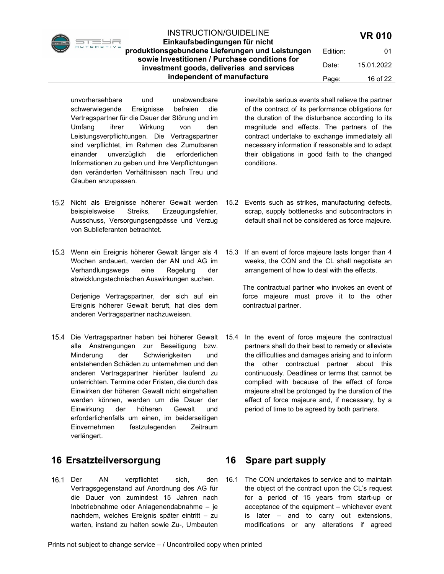

Einkaufsbedingungen für nicht produktionsgebundene Lieferungen und Leistungen sowie Investitionen / Purchase conditions for investment goods, deliveries and services independent of manufacture

Edition: 01 Date: 15.01.2022 Page: 16 of 22

unvorhersehbare und unabwendbare schwerwiegende Ereignisse befreien die Vertragspartner für die Dauer der Störung und im Umfang ihrer Wirkung von den Leistungsverpflichtungen. Die Vertragspartner sind verpflichtet, im Rahmen des Zumutbaren einander unverzüglich die erforderlichen Informationen zu geben und ihre Verpflichtungen den veränderten Verhältnissen nach Treu und Glauben anzupassen.

- 15.2 Nicht als Ereignisse höherer Gewalt werden beispielsweise Streiks, Erzeugungsfehler, Ausschuss, Versorgungsengpässe und Verzug von Sublieferanten betrachtet.
- Wenn ein Ereignis höherer Gewalt länger als 4 Wochen andauert, werden der AN und AG im Verhandlungswege eine Regelung der abwicklungstechnischen Auswirkungen suchen.

Derienige Vertragspartner, der sich auf ein Ereignis höherer Gewalt beruft, hat dies dem anderen Vertragspartner nachzuweisen.

15.4 Die Vertragspartner haben bei höherer Gewalt alle Anstrengungen zur Beseitigung bzw. Minderung der Schwierigkeiten und entstehenden Schäden zu unternehmen und den anderen Vertragspartner hierüber laufend zu unterrichten. Termine oder Fristen, die durch das Einwirken der höheren Gewalt nicht eingehalten werden können, werden um die Dauer der Einwirkung der höheren Gewalt und erforderlichenfalls um einen, im beiderseitigen Einvernehmen festzulegenden Zeitraum verlängert.

# 16 Ersatzteilversorgung

16.1 Der AN verpflichtet sich, den Vertragsgegenstand auf Anordnung des AG für die Dauer von zumindest 15 Jahren nach Inbetriebnahme oder Anlagenendabnahme – je nachdem, welches Ereignis später eintritt – zu warten, instand zu halten sowie Zu-, Umbauten

inevitable serious events shall relieve the partner of the contract of its performance obligations for the duration of the disturbance according to its magnitude and effects. The partners of the contract undertake to exchange immediately all necessary information if reasonable and to adapt their obligations in good faith to the changed conditions.

- 15.2 Events such as strikes, manufacturing defects, scrap, supply bottlenecks and subcontractors in default shall not be considered as force majeure.
- 15.3 If an event of force majeure lasts longer than 4 weeks, the CON and the CL shall negotiate an arrangement of how to deal with the effects.

The contractual partner who invokes an event of force majeure must prove it to the other contractual partner.

15.4 In the event of force majeure the contractual partners shall do their best to remedy or alleviate the difficulties and damages arising and to inform the other contractual partner about this continuously. Deadlines or terms that cannot be complied with because of the effect of force majeure shall be prolonged by the duration of the effect of force majeure and, if necessary, by a period of time to be agreed by both partners.

# 16 Spare part supply

16.1 The CON undertakes to service and to maintain the object of the contract upon the CL's request for a period of 15 years from start-up or acceptance of the equipment – whichever event is later – and to carry out extensions, modifications or any alterations if agreed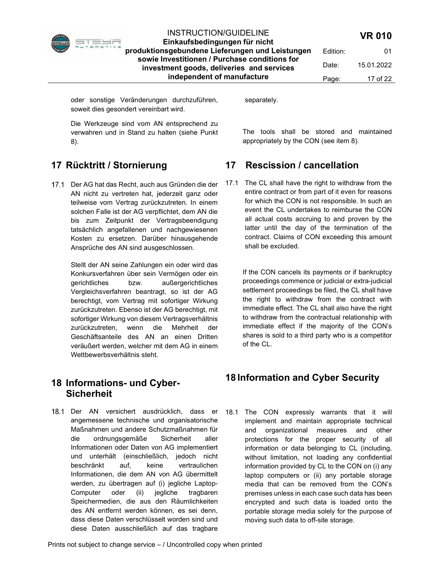

Einkaufsbedingungen für nicht produktionsgebundene Lieferungen und Leistungen sowie Investitionen / Purchase conditions for investment goods, deliveries and services

independent of manufacture Edition: 01 Date: 15.01.2022 Page: 17 of 22

oder sonstige Veränderungen durchzuführen, soweit dies gesondert vereinbart wird.

separately.

Die Werkzeuge sind vom AN entsprechend zu verwahren und in Stand zu halten (siehe Punkt 8).

# 17 Rücktritt / Stornierung

17.1 Der AG hat das Recht, auch aus Gründen die der AN nicht zu vertreten hat, jederzeit ganz oder teilweise vom Vertrag zurückzutreten. In einem solchen Falle ist der AG verpflichtet, dem AN die bis zum Zeitpunkt der Vertragsbeendigung tatsächlich angefallenen und nachgewiesenen Kosten zu ersetzen. Darüber hinausgehende Ansprüche des AN sind ausgeschlossen.

> Stellt der AN seine Zahlungen ein oder wird das Konkursverfahren über sein Vermögen oder ein gerichtliches bzw. außergerichtliches Vergleichsverfahren beantragt, so ist der AG berechtigt, vom Vertrag mit sofortiger Wirkung zurückzutreten. Ebenso ist der AG berechtigt, mit sofortiger Wirkung von diesem Vertragsverhältnis zurückzutreten, wenn die Mehrheit der Geschäftsanteile des AN an einen Dritten veräußert werden, welcher mit dem AG in einem Wettbewerbsverhältnis steht.

## 18 Informations- und Cyber-**Sicherheit**

18.1 Der AN versichert ausdrücklich, dass er angemessene technische und organisatorische Maßnahmen und andere Schutzmaßnahmen für die ordnungsgemäße Sicherheit aller Informationen oder Daten von AG implementiert und unterhält (einschließlich, jedoch nicht beschränkt auf, keine vertraulichen Informationen, die dem AN von AG übermittelt werden, zu übertragen auf (i) jegliche Laptop-Computer oder (ii) jegliche tragbaren Speichermedien, die aus den Räumlichkeiten des AN entfernt werden können, es sei denn, dass diese Daten verschlüsselt worden sind und diese Daten ausschließlich auf das tragbare

The tools shall be stored and maintained appropriately by the CON (see item 8).

# 17 Rescission / cancellation

17.1 The CL shall have the right to withdraw from the entire contract or from part of it even for reasons for which the CON is not responsible. In such an event the CL undertakes to reimburse the CON all actual costs accruing to and proven by the latter until the day of the termination of the contract. Claims of CON exceeding this amount shall be excluded.

> If the CON cancels its payments or if bankruptcy proceedings commence or judicial or extra-judicial settlement proceedings be filed, the CL shall have the right to withdraw from the contract with immediate effect. The CL shall also have the right to withdraw from the contractual relationship with immediate effect if the majority of the CON's shares is sold to a third party who is a competitor of the CL.

# 18 Information and Cyber Security

18.1 The CON expressly warrants that it will implement and maintain appropriate technical and organizational measures and other protections for the proper security of all information or data belonging to CL (including, without limitation, not loading any confidential information provided by CL to the CON on (i) any laptop computers or (ii) any portable storage media that can be removed from the CON's premises unless in each case such data has been encrypted and such data is loaded onto the portable storage media solely for the purpose of moving such data to off-site storage.

Prints not subject to change service – / Uncontrolled copy when printed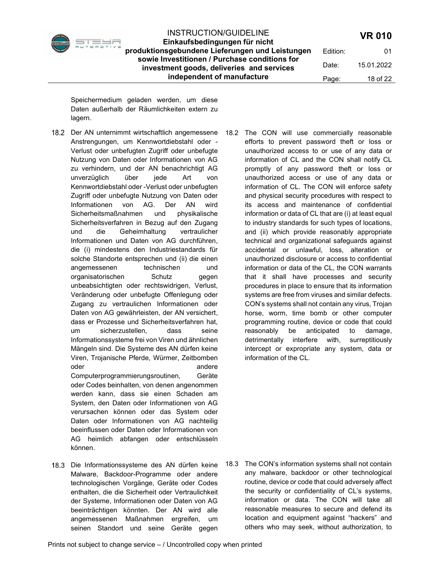

Einkaufsbedingungen für nicht produktionsgebundene Lieferungen und Leistungen sowie Investitionen / Purchase conditions for investment goods, deliveries and services independent of manufacture

Edition: 01 Date: 15.01.2022 Page: 18 of 22

Speichermedium geladen werden, um diese Daten außerhalb der Räumlichkeiten extern zu lagern.

- Anstrengungen, um Kennwortdiebstahl oder Verlust oder unbefugten Zugriff oder unbefugte Nutzung von Daten oder Informationen von AG zu verhindern, und der AN benachrichtigt AG unverzüglich über jede Art von Kennwortdiebstahl oder -Verlust oder unbefugten Zugriff oder unbefugte Nutzung von Daten oder Informationen von AG. Der AN wird Sicherheitsmaßnahmen und physikalische Sicherheitsverfahren in Bezug auf den Zugang und die Geheimhaltung vertraulicher Informationen und Daten von AG durchführen, die (i) mindestens den Industriestandards für solche Standorte entsprechen und (ii) die einen angemessenen technischen und organisatorischen Schutz gegen unbeabsichtigten oder rechtswidrigen, Verlust, Veränderung oder unbefugte Offenlegung oder Zugang zu vertraulichen Informationen oder Daten von AG gewährleisten, der AN versichert, dass er Prozesse und Sicherheitsverfahren hat, um sicherzustellen, dass seine Informationssysteme frei von Viren und ähnlichen Mängeln sind. Die Systeme des AN dürfen keine Viren, Trojanische Pferde, Würmer, Zeitbomben oder andere andere andere andere andere andere andere andere andere andere andere andere andere andere andere Computerprogrammierungsroutinen, Geräte oder Codes beinhalten, von denen angenommen werden kann, dass sie einen Schaden am System, den Daten oder Informationen von AG verursachen können oder das System oder Daten oder Informationen von AG nachteilig beeinflussen oder Daten oder Informationen von AG heimlich abfangen oder entschlüsseln können.
- 18.3 Die Informationssysteme des AN dürfen keine Malware, Backdoor-Programme oder andere technologischen Vorgänge, Geräte oder Codes enthalten, die die Sicherheit oder Vertraulichkeit der Systeme, Informationen oder Daten von AG beeinträchtigen könnten. Der AN wird alle angemessenen Maßnahmen ergreifen, um seinen Standort und seine Geräte gegen

 Der AN unternimmt wirtschaftlich angemessene 18.2 The CON will use commercially reasonable efforts to prevent password theft or loss or unauthorized access to or use of any data or information of CL and the CON shall notify CL promptly of any password theft or loss or unauthorized access or use of any data or information of CL. The CON will enforce safety and physical security procedures with respect to its access and maintenance of confidential information or data of CL that are (i) at least equal to industry standards for such types of locations, and (ii) which provide reasonably appropriate technical and organizational safeguards against accidental or unlawful, loss, alteration or unauthorized disclosure or access to confidential information or data of the CL, the CON warrants that it shall have processes and security procedures in place to ensure that its information systems are free from viruses and similar defects. CON's systems shall not contain any virus, Trojan horse, worm, time bomb or other computer programming routine, device or code that could reasonably be anticipated to damage, detrimentally interfere with, surreptitiously intercept or expropriate any system, data or information of the CL.

> 18.3 The CON's information systems shall not contain any malware, backdoor or other technological routine, device or code that could adversely affect the security or confidentiality of CL's systems, information or data. The CON will take all reasonable measures to secure and defend its location and equipment against "hackers" and others who may seek, without authorization, to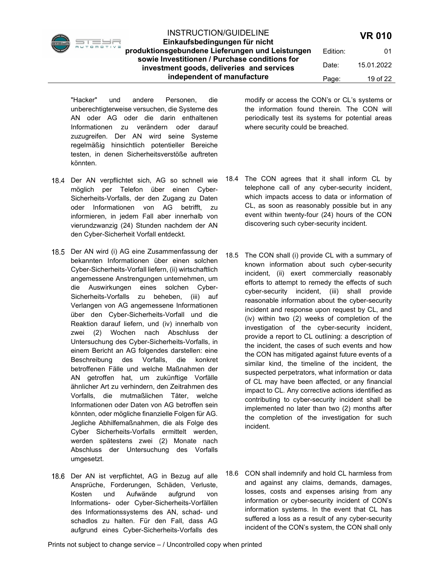#### Einkaufsbedingungen für nicht produktionsgebundene Lieferungen und Leistungen sowie Investitionen / Purchase conditions for investment goods, deliveries and services independent of manufacture Edition: 01 Date: 15.01.2022 Page: 19 of 22

"Hacker" und andere Personen, die unberechtigterweise versuchen, die Systeme des AN oder AG oder die darin enthaltenen Informationen zu verändern oder darauf zuzugreifen. Der AN wird seine Systeme regelmäßig hinsichtlich potentieller Bereiche testen, in denen Sicherheitsverstöße auftreten könnten.

- 18.4 Der AN verpflichtet sich, AG so schnell wie möglich per Telefon über einen Cyber-Sicherheits-Vorfalls, der den Zugang zu Daten oder Informationen von AG betrifft, zu informieren, in jedem Fall aber innerhalb von vierundzwanzig (24) Stunden nachdem der AN den Cyber-Sicherheit Vorfall entdeckt.
- 18.5 Der AN wird (i) AG eine Zusammenfassung der bekannten Informationen über einen solchen Cyber-Sicherheits-Vorfall liefern, (ii) wirtschaftlich angemessene Anstrengungen unternehmen, um die Auswirkungen eines solchen Cyber-Sicherheits-Vorfalls zu beheben, (iii) auf Verlangen von AG angemessene Informationen über den Cyber-Sicherheits-Vorfall und die Reaktion darauf liefern, und (iv) innerhalb von zwei (2) Wochen nach Abschluss der Untersuchung des Cyber-Sicherheits-Vorfalls, in einem Bericht an AG folgendes darstellen: eine Beschreibung des Vorfalls, die konkret betroffenen Fälle und welche Maßnahmen der AN getroffen hat, um zukünftige Vorfälle ähnlicher Art zu verhindern, den Zeitrahmen des Vorfalls, die mutmaßlichen Täter, welche Informationen oder Daten von AG betroffen sein könnten, oder mögliche finanzielle Folgen für AG. Jegliche Abhilfemaßnahmen, die als Folge des Cyber Sicherheits-Vorfalls ermittelt werden, werden spätestens zwei (2) Monate nach Abschluss der Untersuchung des Vorfalls umgesetzt.
- 18.6 Der AN ist verpflichtet, AG in Bezug auf alle Ansprüche, Forderungen, Schäden, Verluste, Kosten und Aufwände aufgrund von Informations- oder Cyber-Sicherheits-Vorfällen des Informationssystems des AN, schad- und schadlos zu halten. Für den Fall, dass AG aufgrund eines Cyber-Sicherheits-Vorfalls des

modify or access the CON's or CL's systems or the information found therein. The CON will periodically test its systems for potential areas where security could be breached.

- 18.4 The CON agrees that it shall inform CL by telephone call of any cyber-security incident, which impacts access to data or information of CL, as soon as reasonably possible but in any event within twenty-four (24) hours of the CON discovering such cyber-security incident.
- 18.5 The CON shall (i) provide CL with a summary of known information about such cyber-security incident, (ii) exert commercially reasonably efforts to attempt to remedy the effects of such cyber-security incident, (iii) shall provide reasonable information about the cyber-security incident and response upon request by CL, and (iv) within two (2) weeks of completion of the investigation of the cyber-security incident, provide a report to CL outlining: a description of the incident, the cases of such events and how the CON has mitigated against future events of a similar kind, the timeline of the incident, the suspected perpetrators, what information or data of CL may have been affected, or any financial impact to CL. Any corrective actions identified as contributing to cyber-security incident shall be implemented no later than two (2) months after the completion of the investigation for such incident.
- 18.6 CON shall indemnify and hold CL harmless from and against any claims, demands, damages, losses, costs and expenses arising from any information or cyber-security incident of CON's information systems. In the event that CL has suffered a loss as a result of any cyber-security incident of the CON's system, the CON shall only

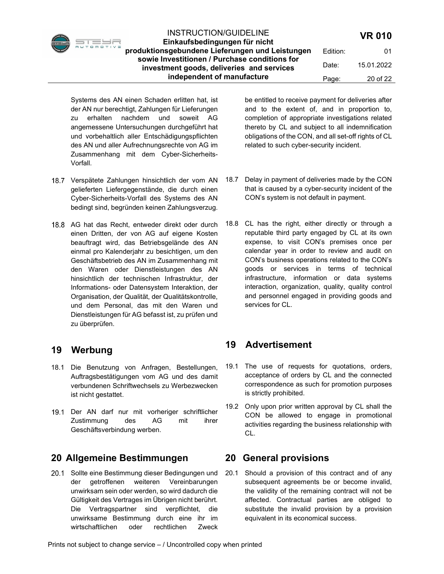Einkaufsbedingungen für nicht produktionsgebundene Lieferungen und Leistungen sowie Investitionen / Purchase conditions for investment goods, deliveries and services independent of manufacture Edition: 01 Date: 15.01.2022 Page: 20 of 22

Systems des AN einen Schaden erlitten hat, ist der AN nur berechtigt, Zahlungen für Lieferungen zu erhalten nachdem und soweit AG angemessene Untersuchungen durchgeführt hat und vorbehaltlich aller Entschädigungspflichten des AN und aller Aufrechnungsrechte von AG im Zusammenhang mit dem Cyber-Sicherheits-Vorfall.

- 18.7 Verspätete Zahlungen hinsichtlich der vom AN gelieferten Liefergegenstände, die durch einen Cyber-Sicherheits-Vorfall des Systems des AN bedingt sind, begründen keinen Zahlungsverzug.
- 18.8 AG hat das Recht, entweder direkt oder durch einen Dritten, der von AG auf eigene Kosten beauftragt wird, das Betriebsgelände des AN einmal pro Kalenderjahr zu besichtigen, um den Geschäftsbetrieb des AN im Zusammenhang mit den Waren oder Dienstleistungen des AN hinsichtlich der technischen Infrastruktur, der Informations- oder Datensystem Interaktion, der Organisation, der Qualität, der Qualitätskontrolle, und dem Personal, das mit den Waren und Dienstleistungen für AG befasst ist, zu prüfen und zu überprüfen.

# 19 Werbung

- 18.1 Die Benutzung von Anfragen, Bestellungen, Auftragsbestätigungen vom AG und des damit verbundenen Schriftwechsels zu Werbezwecken ist nicht gestattet.
- 19.1 Der AN darf nur mit vorheriger schriftlicher Zustimmung des AG mit ihrer Geschäftsverbindung werben.

# 20 Allgemeine Bestimmungen

20.1 Sollte eine Bestimmung dieser Bedingungen und der getroffenen weiteren Vereinbarungen unwirksam sein oder werden, so wird dadurch die Gültigkeit des Vertrages im Übrigen nicht berührt. Die Vertragspartner sind verpflichtet, die unwirksame Bestimmung durch eine ihr im wirtschaftlichen oder rechtlichen Zweck

be entitled to receive payment for deliveries after and to the extent of, and in proportion to, completion of appropriate investigations related thereto by CL and subject to all indemnification obligations of the CON, and all set-off rights of CL related to such cyber-security incident.

- 18.7 Delay in payment of deliveries made by the CON that is caused by a cyber-security incident of the CON's system is not default in payment.
- 18.8 CL has the right, either directly or through a reputable third party engaged by CL at its own expense, to visit CON's premises once per calendar year in order to review and audit on CON's business operations related to the CON's goods or services in terms of technical infrastructure, information or data systems interaction, organization, quality, quality control and personnel engaged in providing goods and services for CL.

# 19 Advertisement

- 19.1 The use of requests for quotations, orders, acceptance of orders by CL and the connected correspondence as such for promotion purposes is strictly prohibited.
- 19.2 Only upon prior written approval by CL shall the CON be allowed to engage in promotional activities regarding the business relationship with CL.

## 20 General provisions

20.1 Should a provision of this contract and of any subsequent agreements be or become invalid, the validity of the remaining contract will not be affected. Contractual parties are obliged to substitute the invalid provision by a provision equivalent in its economical success.

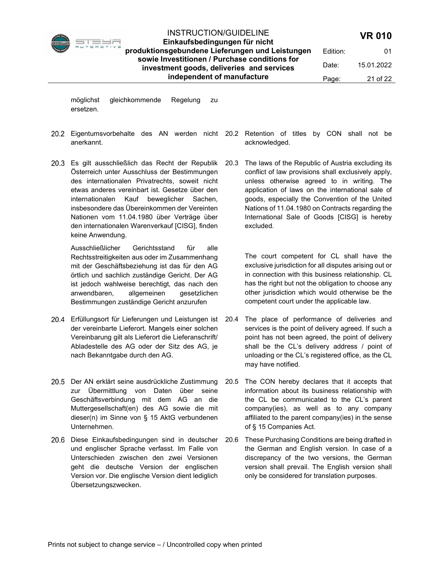

Einkaufsbedingungen für nicht produktionsgebundene Lieferungen und Leistungen sowie Investitionen / Purchase conditions for investment goods, deliveries and services independent of manufacture

Date: 15.01.2022

Edition: 01

möglichst gleichkommende Regelung zu ersetzen.

- anerkannt.
- Österreich unter Ausschluss der Bestimmungen des internationalen Privatrechts, soweit nicht etwas anderes vereinbart ist. Gesetze über den internationalen Kauf beweglicher Sachen, insbesondere das Übereinkommen der Vereinten Nationen vom 11.04.1980 über Verträge über den internationalen Warenverkauf [CISG], finden keine Anwendung.

Ausschließlicher Gerichtsstand für alle Rechtsstreitigkeiten aus oder im Zusammenhang mit der Geschäftsbeziehung ist das für den AG örtlich und sachlich zuständige Gericht. Der AG ist jedoch wahlweise berechtigt, das nach den anwendbaren, allgemeinen gesetzlichen Bestimmungen zuständige Gericht anzurufen

- 20.4 Erfüllungsort für Lieferungen und Leistungen ist 20.4 der vereinbarte Lieferort. Mangels einer solchen Vereinbarung gilt als Lieferort die Lieferanschrift/ Abladestelle des AG oder der Sitz des AG, je nach Bekanntgabe durch den AG.
- 20.5 Der AN erklärt seine ausdrückliche Zustimmung zur Übermittlung von Daten über seine Geschäftsverbindung mit dem AG an die Muttergesellschaft(en) des AG sowie die mit dieser(n) im Sinne von § 15 AktG verbundenen Unternehmen.
- 20.6 Diese Einkaufsbedingungen sind in deutscher und englischer Sprache verfasst. Im Falle von Unterschieden zwischen den zwei Versionen geht die deutsche Version der englischen Version vor. Die englische Version dient lediglich Übersetzungszwecken.
- Eigentumsvorbehalte des AN werden nicht 20.2 Retention of titles by CON shall not be acknowledged.
- Es gilt ausschließlich das Recht der Republik 20.3 The laws of the Republic of Austria excluding its conflict of law provisions shall exclusively apply, unless otherwise agreed to in writing. The application of laws on the international sale of goods, especially the Convention of the United Nations of 11.04.1980 on Contracts regarding the International Sale of Goods [CISG] is hereby excluded.

The court competent for CL shall have the exclusive jurisdiction for all disputes arising out or in connection with this business relationship. CL has the right but not the obligation to choose any other jurisdiction which would otherwise be the competent court under the applicable law.

- The place of performance of deliveries and services is the point of delivery agreed. If such a point has not been agreed, the point of delivery shall be the CL's delivery address / point of unloading or the CL's registered office, as the CL may have notified.
- 20.5 The CON hereby declares that it accepts that information about its business relationship with the CL be communicated to the CL's parent company(ies), as well as to any company affiliated to the parent company(ies) in the sense of § 15 Companies Act.
- 20.6 These Purchasing Conditions are being drafted in the German and English version. In case of a discrepancy of the two versions, the German version shall prevail. The English version shall only be considered for translation purposes.